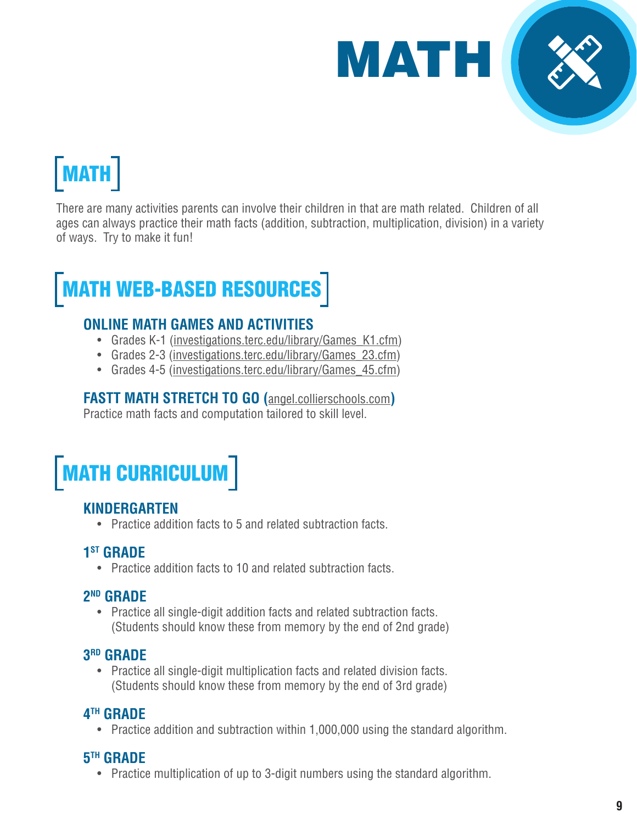

# MATH

There are many activities parents can involve their children in that are math related. Children of all ages can always practice their math facts (addition, subtraction, multiplication, division) in a variety of ways. Try to make it fun!

# MATH WEB-BASED RESOURCES

### **ONLINE MATH GAMES AND ACTIVITIES**

- Grades K-1 (investigations.terc.edu/library/Games K1.cfm)
- Grades 2-3 (investigations.terc.edu/library/Games 23.cfm)
- Grades 4-5 (investigations.terc.edu/library/Games 45.cfm)

# **FASTT MATH STRETCH TO GO (**<angel.collierschools.com>**)**

Practice math facts and computation tailored to skill level.

# MATH CURRICULUM

## **KINDERGARTEN**

• Practice addition facts to 5 and related subtraction facts.

## **1st GRADE**

• Practice addition facts to 10 and related subtraction facts.

#### **2ND GRADE**

• Practice all single-digit addition facts and related subtraction facts. (Students should know these from memory by the end of 2nd grade)

#### **3RD GRADE**

• Practice all single-digit multiplication facts and related division facts. (Students should know these from memory by the end of 3rd grade)

## **4TH GRADE**

• Practice addition and subtraction within 1,000,000 using the standard algorithm.

## **5TH GRADE**

• Practice multiplication of up to 3-digit numbers using the standard algorithm.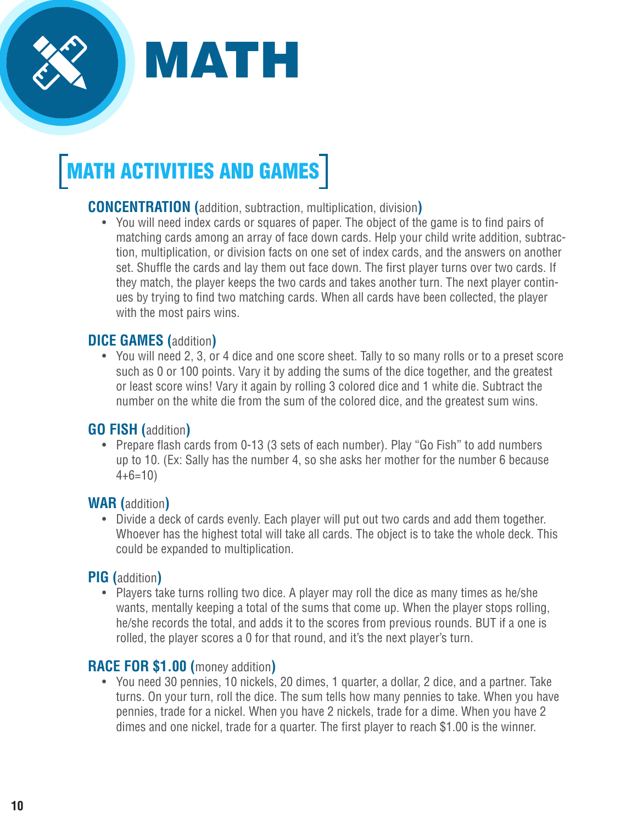

# **MATH ACTIVITIES AND GAMES**

## **CONCENTRATION (**addition, subtraction, multiplication, division**)**

• You will need index cards or squares of paper. The object of the game is to find pairs of matching cards among an array of face down cards. Help your child write addition, subtraction, multiplication, or division facts on one set of index cards, and the answers on another set. Shuffle the cards and lay them out face down. The first player turns over two cards. If they match, the player keeps the two cards and takes another turn. The next player continues by trying to find two matching cards. When all cards have been collected, the player with the most pairs wins.

#### **DICE GAMES (**addition**)**

• You will need 2, 3, or 4 dice and one score sheet. Tally to so many rolls or to a preset score such as 0 or 100 points. Vary it by adding the sums of the dice together, and the greatest or least score wins! Vary it again by rolling 3 colored dice and 1 white die. Subtract the number on the white die from the sum of the colored dice, and the greatest sum wins.

#### **GO FISH (**addition**)**

• Prepare flash cards from 0-13 (3 sets of each number). Play "Go Fish" to add numbers up to 10. (Ex: Sally has the number 4, so she asks her mother for the number 6 because  $4+6=10$ 

#### **WAR (**addition**)**

• Divide a deck of cards evenly. Each player will put out two cards and add them together. Whoever has the highest total will take all cards. The object is to take the whole deck. This could be expanded to multiplication.

## **PIG (**addition**)**

• Players take turns rolling two dice. A player may roll the dice as many times as he/she wants, mentally keeping a total of the sums that come up. When the player stops rolling, he/she records the total, and adds it to the scores from previous rounds. BUT if a one is rolled, the player scores a 0 for that round, and it's the next player's turn.

#### **RACE FOR \$1.00 (**money addition**)**

• You need 30 pennies, 10 nickels, 20 dimes, 1 quarter, a dollar, 2 dice, and a partner. Take turns. On your turn, roll the dice. The sum tells how many pennies to take. When you have pennies, trade for a nickel. When you have 2 nickels, trade for a dime. When you have 2 dimes and one nickel, trade for a quarter. The first player to reach \$1.00 is the winner.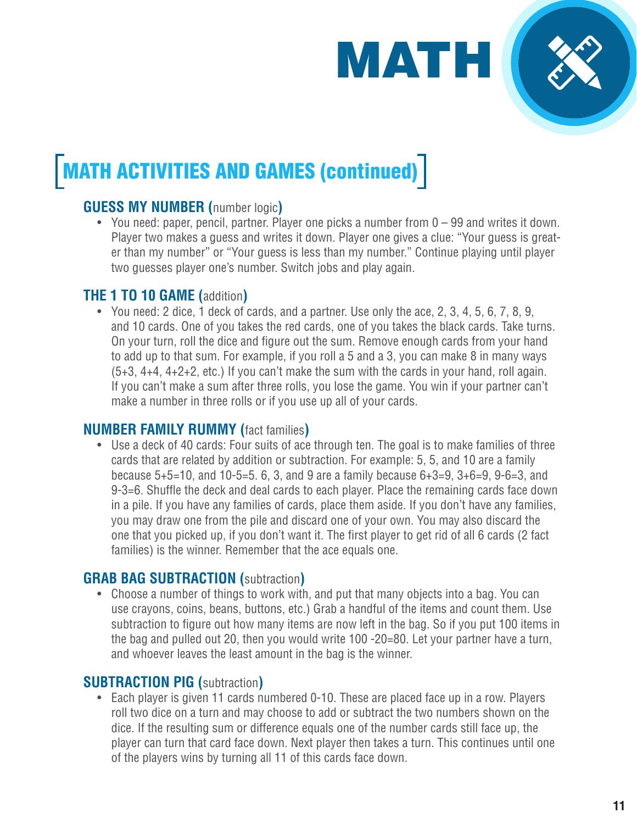

# MATH ACTIVITIES AND GAMES (continued)

# **GUESS MY NUMBER (**number logic**)**

• You need: paper, pencil, partner. Player one picks a number from 0 – 99 and writes it down. Player two makes a guess and writes it down. Player one gives a clue: "Your guess is greater than my number" or "Your guess is less than my number." Continue playing until player two guesses player one's number. Switch jobs and play again.

# **THE 1 TO 10 GAME (**addition**)**

• You need: 2 dice, 1 deck of cards, and a partner. Use only the ace, 2, 3, 4, 5, 6, 7, 8, 9, and 10 cards. One of you takes the red cards, one of you takes the black cards. Take turns. On your turn, roll the dice and figure out the sum. Remove enough cards from your hand to add up to that sum. For example, if you roll a 5 and a 3, you can make 8 in many ways (5+3, 4+4, 4+2+2, etc.) If you can't make the sum with the cards in your hand, roll again. If you can't make a sum after three rolls, you lose the game. You win if your partner can't make a number in three rolls or if you use up all of your cards.

#### **NUMBER FAMILY RUMMY (**fact families**)**

• Use a deck of 40 cards: Four suits of ace through ten. The goal is to make families of three cards that are related by addition or subtraction. For example: 5, 5, and 10 are a family because 5+5=10, and 10-5=5. 6, 3, and 9 are a family because 6+3=9, 3+6=9, 9-6=3, and 9-3=6. Shuffle the deck and deal cards to each player. Place the remaining cards face down in a pile. If you have any families of cards, place them aside. If you don't have any families, you may draw one from the pile and discard one of your own. You may also discard the one that you picked up, if you don't want it. The first player to get rid of all 6 cards (2 fact families) is the winner. Remember that the ace equals one.

## **GRAB BAG SUBTRACTION (**subtraction**)**

• Choose a number of things to work with, and put that many objects into a bag. You can use crayons, coins, beans, buttons, etc.) Grab a handful of the items and count them. Use subtraction to figure out how many items are now left in the bag. So if you put 100 items in the bag and pulled out 20, then you would write 100 -20=80. Let your partner have a turn, and whoever leaves the least amount in the bag is the winner.

## **SUBTRACTION PIG (**subtraction**)**

• Each player is given 11 cards numbered 0-10. These are placed face up in a row. Players roll two dice on a turn and may choose to add or subtract the two numbers shown on the dice. If the resulting sum or difference equals one of the number cards still face up, the player can turn that card face down. Next player then takes a turn. This continues until one of the players wins by turning all 11 of this cards face down.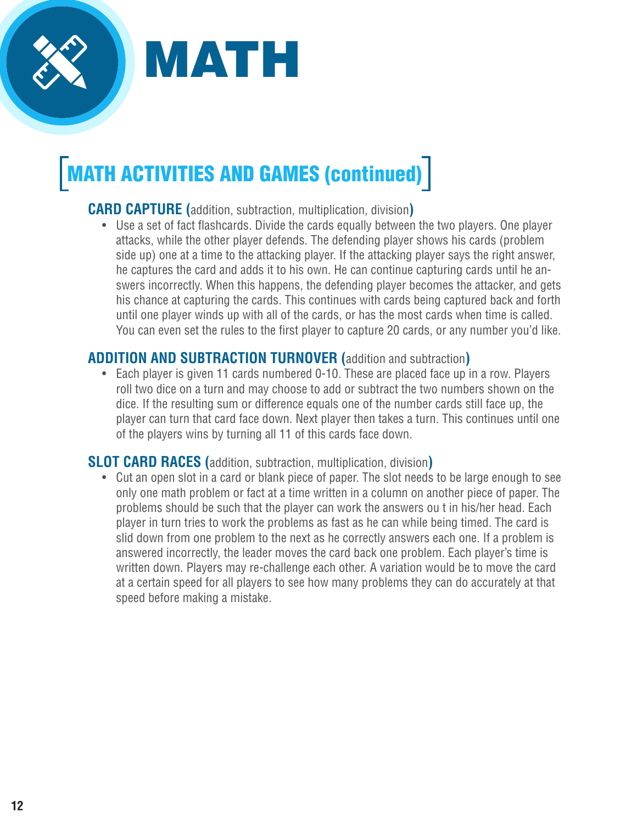

# MATH ACTIVITIES AND GAMES (continued)

## **CARD CAPTURE (**addition, subtraction, multiplication, division**)**

• Use a set of fact flashcards. Divide the cards equally between the two players. One player attacks, while the other player defends. The defending player shows his cards (problem side up) one at a time to the attacking player. If the attacking player says the right answer, he captures the card and adds it to his own. He can continue capturing cards until he answers incorrectly. When this happens, the defending player becomes the attacker, and gets his chance at capturing the cards. This continues with cards being captured back and forth until one player winds up with all of the cards, or has the most cards when time is called. You can even set the rules to the first player to capture 20 cards, or any number you'd like.

#### **ADDITION AND SUBTRACTION TURNOVER (**addition and subtraction**)**

• Each player is given 11 cards numbered 0-10. These are placed face up in a row. Players roll two dice on a turn and may choose to add or subtract the two numbers shown on the dice. If the resulting sum or difference equals one of the number cards still face up, the player can turn that card face down. Next player then takes a turn. This continues until one of the players wins by turning all 11 of this cards face down.

#### **SLOT CARD RACES (**addition, subtraction, multiplication, division**)**

• Cut an open slot in a card or blank piece of paper. The slot needs to be large enough to see only one math problem or fact at a time written in a column on another piece of paper. The problems should be such that the player can work the answers ou t in his/her head. Each player in turn tries to work the problems as fast as he can while being timed. The card is slid down from one problem to the next as he correctly answers each one. If a problem is answered incorrectly, the leader moves the card back one problem. Each player's time is written down. Players may re-challenge each other. A variation would be to move the card at a certain speed for all players to see how many problems they can do accurately at that speed before making a mistake.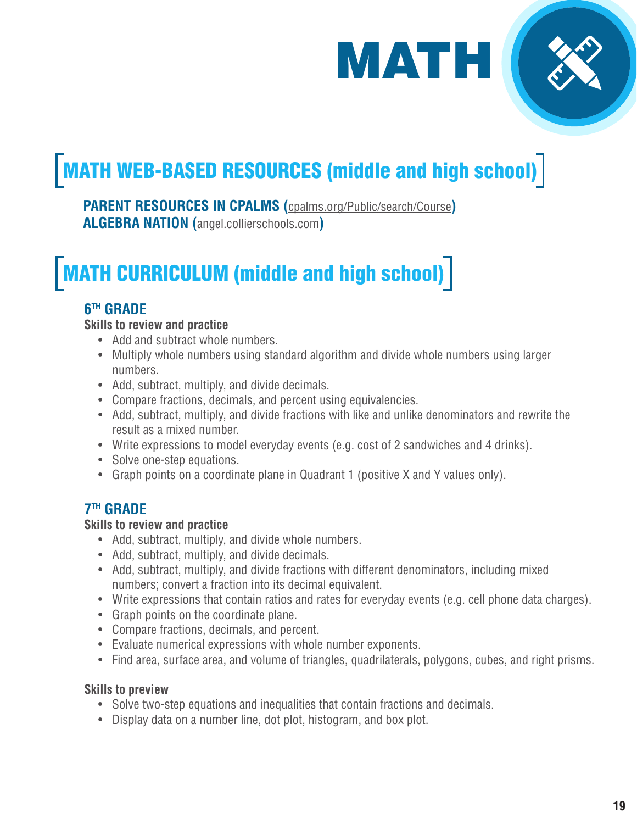

# MATH WEB-BASED RESOURCES (middle and high school)

**PARENT RESOURCES IN CPALMS (**[cpalms.org/Public/search/Course](http://cpalms.org/Public/search/Course)**) ALGEBRA NATION (**[angel.collierschools.com](http://angel.collierschools.com)**)**

# MATH CURRICULUM (middle and high school)

# **6TH GRADE**

#### **Skills to review and practice**

- Add and subtract whole numbers.
- Multiply whole numbers using standard algorithm and divide whole numbers using larger numbers.
- Add, subtract, multiply, and divide decimals.
- Compare fractions, decimals, and percent using equivalencies.
- Add, subtract, multiply, and divide fractions with like and unlike denominators and rewrite the result as a mixed number.
- Write expressions to model everyday events (e.g. cost of 2 sandwiches and 4 drinks).
- Solve one-step equations.
- Graph points on a coordinate plane in Quadrant 1 (positive X and Y values only).

# **7TH GRADE**

#### **Skills to review and practice**

- Add, subtract, multiply, and divide whole numbers.
- Add, subtract, multiply, and divide decimals.
- Add, subtract, multiply, and divide fractions with different denominators, including mixed numbers; convert a fraction into its decimal equivalent.
- Write expressions that contain ratios and rates for everyday events (e.g. cell phone data charges).
- Graph points on the coordinate plane.
- Compare fractions, decimals, and percent.
- Evaluate numerical expressions with whole number exponents.
- Find area, surface area, and volume of triangles, quadrilaterals, polygons, cubes, and right prisms.

#### **Skills to preview**

- Solve two-step equations and inequalities that contain fractions and decimals.
- Display data on a number line, dot plot, histogram, and box plot.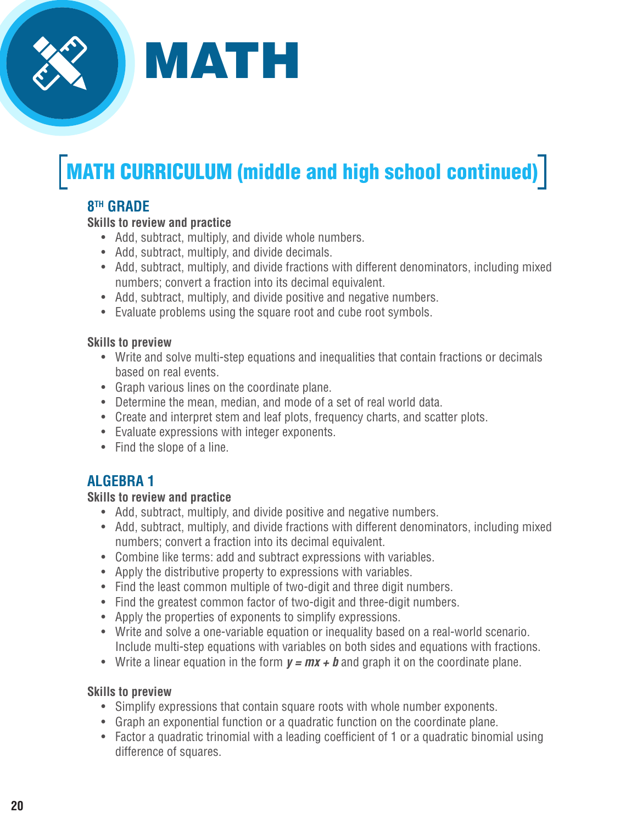

# **MATH CURRICULUM (middle and high school continued)**

# **8TH GRADE**

#### **Skills to review and practice**

- Add, subtract, multiply, and divide whole numbers.
- Add, subtract, multiply, and divide decimals.
- Add, subtract, multiply, and divide fractions with different denominators, including mixed numbers; convert a fraction into its decimal equivalent.
- Add, subtract, multiply, and divide positive and negative numbers.
- Evaluate problems using the square root and cube root symbols.

#### **Skills to preview**

- Write and solve multi-step equations and inequalities that contain fractions or decimals based on real events.
- Graph various lines on the coordinate plane.
- Determine the mean, median, and mode of a set of real world data.
- Create and interpret stem and leaf plots, frequency charts, and scatter plots.
- Evaluate expressions with integer exponents.
- Find the slope of a line.

# **ALGEBRA 1**

#### **Skills to review and practice**

- Add, subtract, multiply, and divide positive and negative numbers.
- Add, subtract, multiply, and divide fractions with different denominators, including mixed numbers; convert a fraction into its decimal equivalent.
- Combine like terms: add and subtract expressions with variables.
- Apply the distributive property to expressions with variables.
- Find the least common multiple of two-digit and three digit numbers.
- Find the greatest common factor of two-digit and three-digit numbers.
- Apply the properties of exponents to simplify expressions.
- Write and solve a one-variable equation or inequality based on a real-world scenario. Include multi-step equations with variables on both sides and equations with fractions.
- Write a linear equation in the form  $y = mx + b$  and graph it on the coordinate plane.

#### **Skills to preview**

- Simplify expressions that contain square roots with whole number exponents.
- Graph an exponential function or a quadratic function on the coordinate plane.
- Factor a quadratic trinomial with a leading coefficient of 1 or a quadratic binomial using difference of squares.